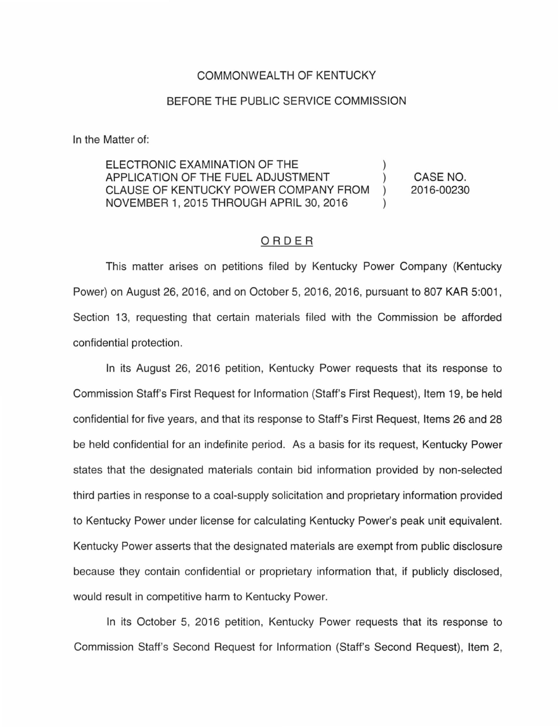## COMMONWEALTH OF KENTUCKY

## BEFORE THE PUBLIC SERVICE COMMISSION

In the Matter of:

ELECTRONIC EXAMINATION OF THE APPLICATION OF THE FUEL ADJUSTMENT CLAUSE OF KENTUCKY POWER COMPANY FROM NOVEMBER 1, 2015 THROUGH APRIL 30, 2016 ) CASE NO. 2016-00230

## ORDER

This matter arises on petitions filed by Kentucky Power Company (Kentucky Power) on August 26, 2016, and on October 5, 2016, 2016, pursuant to 807 KAR 5:001, Section 13, requesting that certain materials filed with the Commission be afforded confidential protection.

In its August 26, 2016 petition, Kentucky Power requests that its response to Commission Staff's First Request for Information (Staff's First Request), Item 19, be held confidential for five years, and that its response to Staff's First Request, Items 26 and 28 be held confidential for an indefinite period. As a basis for its request, Kentucky Power states that the designated materials contain bid information provided by non-selected third parties in response to a coal-supply solicitation and proprietary information provided to Kentucky Power under license for calculating Kentucky Power's peak unit equivalent. Kentucky Power asserts that the designated materials are exempt from public disclosure because they contain confidential or proprietary information that, if publicly disclosed, would result in competitive harm to Kentucky Power.

In its October 5, 2016 petition, Kentucky Power requests that its response to Commission Staff's Second Request for Information (Staff's Second Request), Item 2,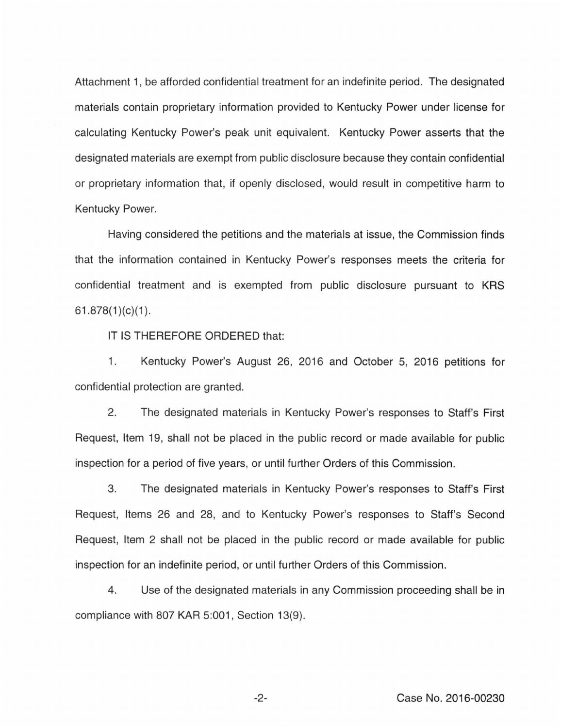Attachment 1, be afforded confidential treatment for an indefinite period. The designated materials contain proprietary information provided to Kentucky Power under license for calculating Kentucky Power's peak unit equivalent. Kentucky Power asserts that the designated materials are exempt from public disclosure because they contain confidential or proprietary information that, if openly disclosed, would result in competitive harm to Kentucky Power.

Having considered the petitions and the materials at issue, the Commission finds that the information contained in Kentucky Power's responses meets the criteria for confidential treatment and is exempted from public disclosure pursuant to KRS  $61.878(1)(c)(1)$ .

IT IS THEREFORE ORDERED that:

1. Kentucky Power's August 26, 2016 and October 5, 2016 petitions for confidential protection are granted.

2. The designated materials in Kentucky Power's responses to Staff's First Request, Item 19, shall not be placed in the public record or made available for public inspection for a period of five years, or until further Orders of this Commission.

3. The designated materials in Kentucky Power's responses to Staff's First Request, Items 26 and 28, and to Kentucky Power's responses to Staff's Second Request, Item 2 shall not be placed in the public record or made available for public inspection for an indefinite period, or until further Orders of this Commission.

4. Use of the designated materials in any Commission proceeding shall be in compliance with 807 KAR 5:001, Section 13(9).

-2- Case No. 2016-00230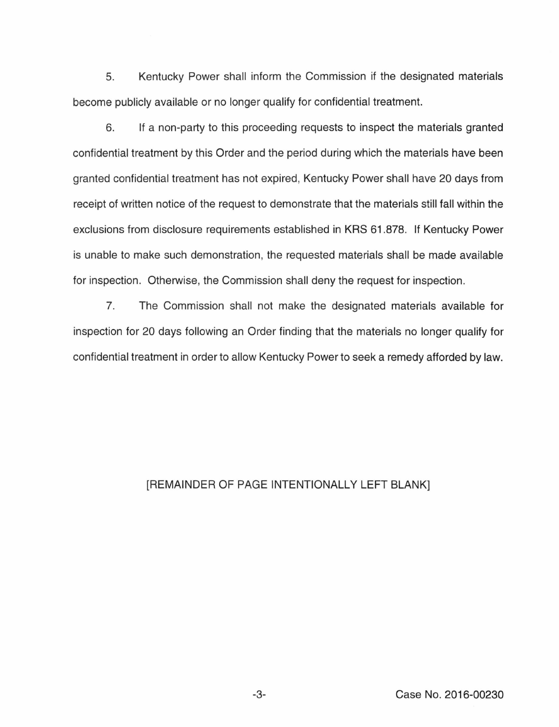5. Kentucky Power shall inform the Commission if the designated materials become publicly available or no longer qualify for confidential treatment.

6. If a non-party to this proceeding requests to inspect the materials granted confidential treatment by this Order and the period during which the materials have been granted confidential treatment has not expired, Kentucky Power shall have 20 days from receipt of written notice of the request to demonstrate that the materials still fall within the exclusions from disclosure requirements established in KRS 61.878. If Kentucky Power is unable to make such demonstration, the requested materials shall be made available for inspection. Otherwise, the Commission shall deny the request for inspection.

7. The Commission shall not make the designated materials available for inspection for 20 days following an Order finding that the materials no longer qualify for confidential treatment in order to allow Kentucky Power to seek a remedy afforded by law.

## [REMAINDER OF PAGE INTENTIONALLY **LEFT** BLANK]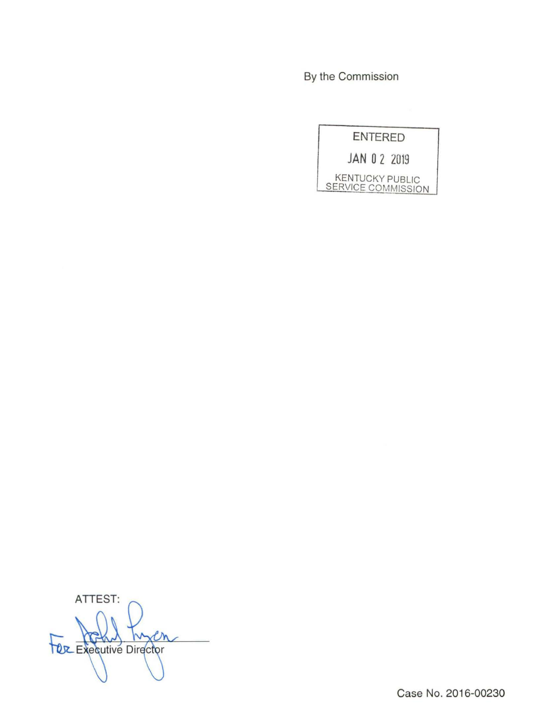By the Commission

ENTERED

JAN 0 2 2019

KENTUCKY PUBLIC SERVICE COMMISSION

ATTEST: En **TOZ Executive Director**